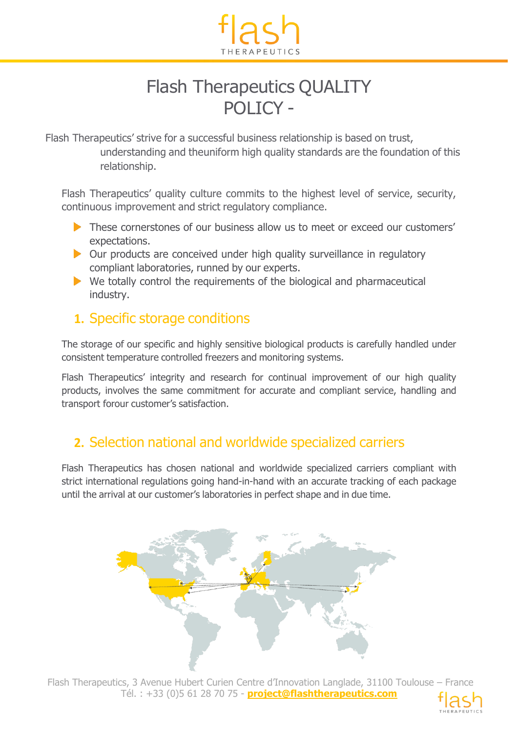

# Flash Therapeutics QUALITY POLICY -

Flash Therapeutics' strive for a successful business relationship is based on trust, understanding and theuniform high quality standards are the foundation of this relationship.

Flash Therapeutics' quality culture commits to the highest level of service, security, continuous improvement and strict regulatory compliance.

- These cornerstones of our business allow us to meet or exceed our customers' expectations.
- $\triangleright$  Our products are conceived under high quality surveillance in regulatory compliant laboratories, runned by our experts.
- $\blacktriangleright$  We totally control the requirements of the biological and pharmaceutical industry.

#### **1.** Specific storage conditions

The storage of our specific and highly sensitive biological products is carefully handled under consistent temperature controlled freezers and monitoring systems.

Flash Therapeutics' integrity and research for continual improvement of our high quality products, involves the same commitment for accurate and compliant service, handling and transport forour customer's satisfaction.

### **2.** Selection national and worldwide specialized carriers

Flash Therapeutics has chosen national and worldwide specialized carriers compliant with strict international regulations going hand-in-hand with an accurate tracking of each package until the arrival at our customer's laboratories in perfect shape and in due time.



Flash Therapeutics, 3 Avenue Hubert Curien Centre d'Innovation Langlade, 31100 Toulouse – France Tél. : +33 (0)5 61 28 70 75 - **project@flashtherapeutics.com**

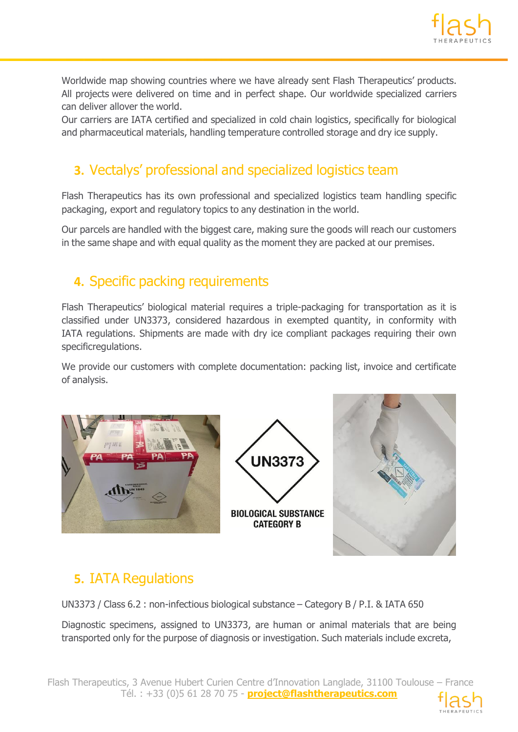

Worldwide map showing countries where we have already sent Flash Therapeutics' products. All projects were delivered on time and in perfect shape. Our worldwide specialized carriers can deliver allover the world.

Our carriers are IATA certified and specialized in cold chain logistics, specifically for biological and pharmaceutical materials, handling temperature controlled storage and dry ice supply.

## **3.** Vectalys' professional and specialized logistics team

Flash Therapeutics has its own professional and specialized logistics team handling specific packaging, export and regulatory topics to any destination in the world.

Our parcels are handled with the biggest care, making sure the goods will reach our customers in the same shape and with equal quality as the moment they are packed at our premises.

#### **4.** Specific packing requirements

Flash Therapeutics' biological material requires a triple-packaging for transportation as it is classified under UN3373, considered hazardous in exempted quantity, in conformity with IATA regulations. Shipments are made with dry ice compliant packages requiring their own specificregulations.

We provide our customers with complete documentation: packing list, invoice and certificate of analysis.



## **5.** IATA Regulations

UN3373 / Class 6.2 : non-infectious biological substance – Category B / P.I. & IATA 650

Diagnostic specimens, assigned to UN3373, are human or animal materials that are being transported only for the purpose of diagnosis or investigation. Such materials include excreta,